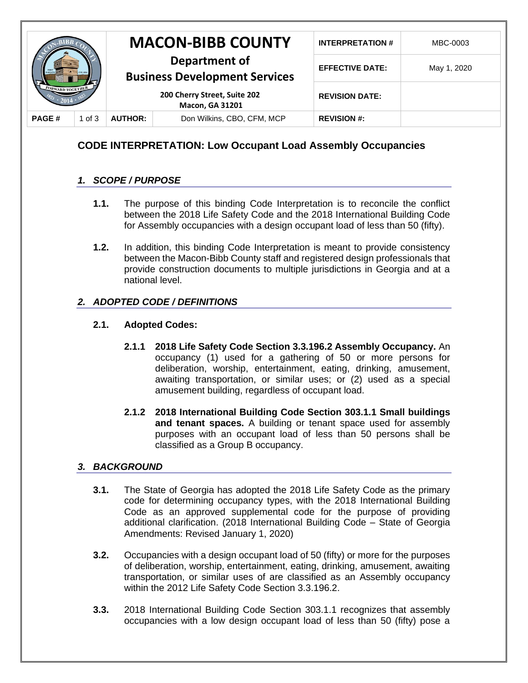|                         |          |                                                        | <b>MACON-BIBB COUNTY</b>   | <b>INTERPRETATION#</b> | MBC-0003    |
|-------------------------|----------|--------------------------------------------------------|----------------------------|------------------------|-------------|
|                         |          | Department of<br><b>Business Development Services</b>  |                            | <b>EFFECTIVE DATE:</b> | May 1, 2020 |
| <b>FORWARD TOGETHER</b> |          | 200 Cherry Street, Suite 202<br><b>Macon, GA 31201</b> |                            | <b>REVISION DATE:</b>  |             |
| <b>PAGE#</b>            | 1 of $3$ | <b>AUTHOR:</b>                                         | Don Wilkins, CBO, CFM, MCP | <b>REVISION #:</b>     |             |

# **CODE INTERPRETATION: Low Occupant Load Assembly Occupancies**

## *1. SCOPE / PURPOSE*

- **1.1.** The purpose of this binding Code Interpretation is to reconcile the conflict between the 2018 Life Safety Code and the 2018 International Building Code for Assembly occupancies with a design occupant load of less than 50 (fifty).
- **1.2.** In addition, this binding Code Interpretation is meant to provide consistency between the Macon-Bibb County staff and registered design professionals that provide construction documents to multiple jurisdictions in Georgia and at a national level.

### *2. ADOPTED CODE / DEFINITIONS*

### **2.1. Adopted Codes:**

- **2.1.1 2018 Life Safety Code Section 3.3.196.2 Assembly Occupancy.** An occupancy (1) used for a gathering of 50 or more persons for deliberation, worship, entertainment, eating, drinking, amusement, awaiting transportation, or similar uses; or (2) used as a special amusement building, regardless of occupant load.
- **2.1.2 2018 International Building Code Section 303.1.1 Small buildings and tenant spaces.** A building or tenant space used for assembly purposes with an occupant load of less than 50 persons shall be classified as a Group B occupancy.

### *3. BACKGROUND*

- **3.1.** The State of Georgia has adopted the 2018 Life Safety Code as the primary code for determining occupancy types, with the 2018 International Building Code as an approved supplemental code for the purpose of providing additional clarification. (2018 International Building Code – State of Georgia Amendments: Revised January 1, 2020)
- **3.2.** Occupancies with a design occupant load of 50 (fifty) or more for the purposes of deliberation, worship, entertainment, eating, drinking, amusement, awaiting transportation, or similar uses of are classified as an Assembly occupancy within the 2012 Life Safety Code Section 3.3.196.2.
- **3.3.** 2018 International Building Code Section 303.1.1 recognizes that assembly occupancies with a low design occupant load of less than 50 (fifty) pose a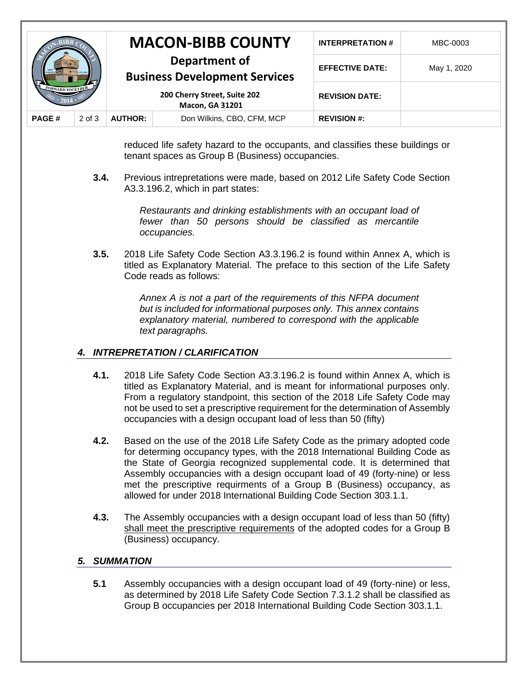|                                       |            |                                                                                                                 | <b>MACON-BIBB COUNTY</b>   | <b>INTERPRETATION#</b> | MBC-0003    |
|---------------------------------------|------------|-----------------------------------------------------------------------------------------------------------------|----------------------------|------------------------|-------------|
| <b><i><u>FORWARD TOGETHER</u></i></b> |            | Department of<br><b>Business Development Services</b><br>200 Cherry Street, Suite 202<br><b>Macon, GA 31201</b> |                            | <b>EFFECTIVE DATE:</b> | May 1, 2020 |
|                                       |            |                                                                                                                 |                            | <b>REVISION DATE:</b>  |             |
| <b>PAGE#</b>                          | $2$ of $3$ | <b>AUTHOR:</b>                                                                                                  | Don Wilkins, CBO, CFM, MCP | <b>REVISION #:</b>     |             |

reduced life safety hazard to the occupants, and classifies these buildings or tenant spaces as Group B (Business) occupancies.

**3.4.** Previous intrepretations were made, based on 2012 Life Safety Code Section A3.3.196.2, which in part states:

> *Restaurants and drinking establishments with an occupant load of fewer than 50 persons should be classified as mercantile occupancies.*

**3.5.** 2018 Life Safety Code Section A3.3.196.2 is found within Annex A, which is titled as Explanatory Material. The preface to this section of the Life Safety Code reads as follows:

> *Annex A is not a part of the requirements of this NFPA document but is included for informational purposes only. This annex contains explanatory material, numbered to correspond with the applicable text paragraphs.*

### *4. INTREPRETATION / CLARIFICATION*

- **4.1.** 2018 Life Safety Code Section A3.3.196.2 is found within Annex A, which is titled as Explanatory Material, and is meant for informational purposes only. From a regulatory standpoint, this section of the 2018 Life Safety Code may not be used to set a prescriptive requirement for the determination of Assembly occupancies with a design occupant load of less than 50 (fifty)
- **4.2.** Based on the use of the 2018 Life Safety Code as the primary adopted code for determing occupancy types, with the 2018 International Building Code as the State of Georgia recognized supplemental code. It is determined that Assembly occupancies with a design occupant load of 49 (forty-nine) or less met the prescriptive requirments of a Group B (Business) occupancy, as allowed for under 2018 International Building Code Section 303.1.1.
- **4.3.** The Assembly occupancies with a design occupant load of less than 50 (fifty) shall meet the prescriptive requirements of the adopted codes for a Group B (Business) occupancy.

#### *5. SUMMATION*

**5.1** Assembly occupancies with a design occupant load of 49 (forty-nine) or less, as determined by 2018 Life Safety Code Section 7.3.1.2 shall be classified as Group B occupancies per 2018 International Building Code Section 303.1.1.